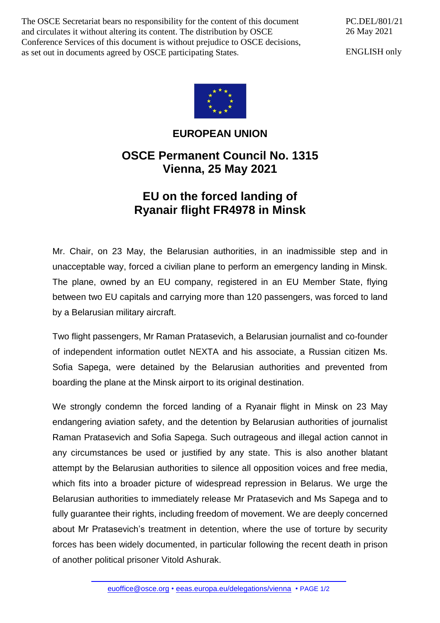The OSCE Secretariat bears no responsibility for the content of this document and circulates it without altering its content. The distribution by OSCE Conference Services of this document is without prejudice to OSCE decisions, as set out in documents agreed by OSCE participating States.

PC.DEL/801/21 26 May 2021

ENGLISH only



## **EUROPEAN UNION**

## **OSCE Permanent Council No. 1315 Vienna, 25 May 2021**

## **EU on the forced landing of Ryanair flight FR4978 in Minsk**

Mr. Chair, on 23 May, the Belarusian authorities, in an inadmissible step and in unacceptable way, forced a civilian plane to perform an emergency landing in Minsk. The plane, owned by an EU company, registered in an EU Member State, flying between two EU capitals and carrying more than 120 passengers, was forced to land by a Belarusian military aircraft.

Two flight passengers, Mr Raman Pratasevich, a Belarusian journalist and co-founder of independent information outlet NEXTA and his associate, a Russian citizen Ms. Sofia Sapega, were detained by the Belarusian authorities and prevented from boarding the plane at the Minsk airport to its original destination.

We strongly condemn the forced landing of a Ryanair flight in Minsk on 23 May endangering aviation safety, and the detention by Belarusian authorities of journalist Raman Pratasevich and Sofia Sapega. Such outrageous and illegal action cannot in any circumstances be used or justified by any state. This is also another blatant attempt by the Belarusian authorities to silence all opposition voices and free media, which fits into a broader picture of widespread repression in Belarus. We urge the Belarusian authorities to immediately release Mr Pratasevich and Ms Sapega and to fully guarantee their rights, including freedom of movement. We are deeply concerned about Mr Pratasevich's treatment in detention, where the use of torture by security forces has been widely documented, in particular following the recent death in prison of another political prisoner Vitold Ashurak.